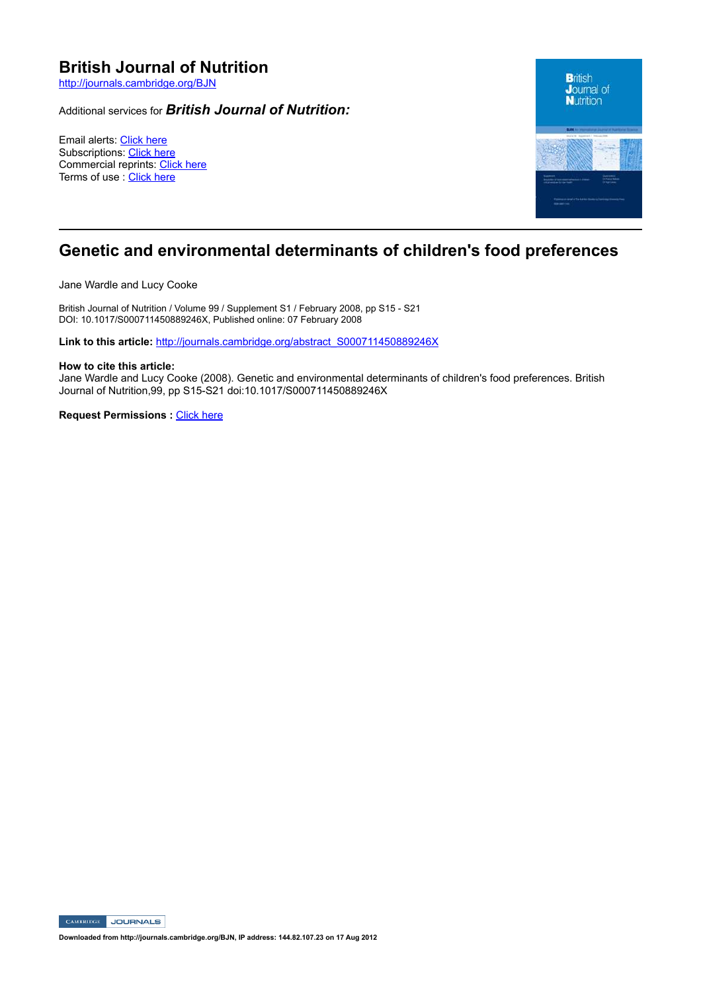# **British Journal of Nutrition**

http://journals.cambridge.org/BJN

### Additional services for *British Journal of Nutrition:*

Email alerts: Click here Subscriptions: Click here Commercial reprints: Click here Terms of use : Click here



## **Genetic and environmental determinants of children's food preferences**

Jane Wardle and Lucy Cooke

British Journal of Nutrition / Volume 99 / Supplement S1 / February 2008, pp S15 - S21 DOI: 10.1017/S000711450889246X, Published online: 07 February 2008

Link to this article: http://journals.cambridge.org/abstract\_S000711450889246X

#### **How to cite this article:**

Jane Wardle and Lucy Cooke (2008). Genetic and environmental determinants of children's food preferences. British Journal of Nutrition, 99, pp S15-S21 doi:10.1017/S000711450889246X

**Request Permissions : Click here** 

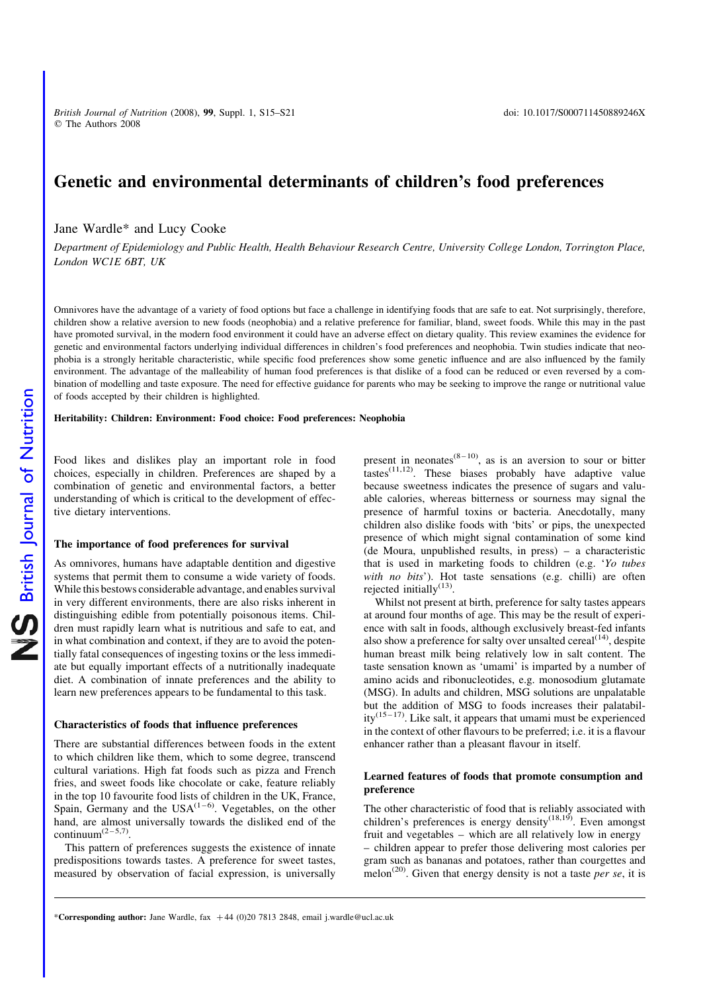# Genetic and environmental determinants of children's food preferences

Jane Wardle\* and Lucy Cooke

Department of Epidemiology and Public Health, Health Behaviour Research Centre, University College London, Torrington Place, London WC1E 6BT, UK

Omnivores have the advantage of a variety of food options but face a challenge in identifying foods that are safe to eat. Not surprisingly, therefore, children show a relative aversion to new foods (neophobia) and a relative preference for familiar, bland, sweet foods. While this may in the past have promoted survival, in the modern food environment it could have an adverse effect on dietary quality. This review examines the evidence for genetic and environmental factors underlying individual differences in children's food preferences and neophobia. Twin studies indicate that neophobia is a strongly heritable characteristic, while specific food preferences show some genetic influence and are also influenced by the family environment. The advantage of the malleability of human food preferences is that dislike of a food can be reduced or even reversed by a combination of modelling and taste exposure. The need for effective guidance for parents who may be seeking to improve the range or nutritional value of foods accepted by their children is highlighted.

#### Heritability: Children: Environment: Food choice: Food preferences: Neophobia

Food likes and dislikes play an important role in food choices, especially in children. Preferences are shaped by a combination of genetic and environmental factors, a better understanding of which is critical to the development of effective dietary interventions.

#### The importance of food preferences for survival

As omnivores, humans have adaptable dentition and digestive systems that permit them to consume a wide variety of foods. While this bestows considerable advantage, and enables survival in very different environments, there are also risks inherent in distinguishing edible from potentially poisonous items. Children must rapidly learn what is nutritious and safe to eat, and in what combination and context, if they are to avoid the potentially fatal consequences of ingesting toxins or the less immediate but equally important effects of a nutritionally inadequate diet. A combination of innate preferences and the ability to learn new preferences appears to be fundamental to this task.

#### Characteristics of foods that influence preferences

There are substantial differences between foods in the extent to which children like them, which to some degree, transcend cultural variations. High fat foods such as pizza and French fries, and sweet foods like chocolate or cake, feature reliably in the top 10 favourite food lists of children in the UK, France, Spain, Germany and the  $USA^{(1-6)}$ . Vegetables, on the other hand, are almost universally towards the disliked end of the continuum $(2-5,7)$ .

This pattern of preferences suggests the existence of innate predispositions towards tastes. A preference for sweet tastes, measured by observation of facial expression, is universally present in neonates<sup>(8-10)</sup>, as is an aversion to sour or bitter tastes $^{(11,12)}$ . These biases probably have adaptive value because sweetness indicates the presence of sugars and valuable calories, whereas bitterness or sourness may signal the presence of harmful toxins or bacteria. Anecdotally, many children also dislike foods with 'bits' or pips, the unexpected presence of which might signal contamination of some kind (de Moura, unpublished results, in press) – a characteristic that is used in marketing foods to children (e.g. 'Yo tubes with no bits'). Hot taste sensations (e.g. chilli) are often rejected initially $^{(13)}$ .

Whilst not present at birth, preference for salty tastes appears at around four months of age. This may be the result of experience with salt in foods, although exclusively breast-fed infants also show a preference for salty over unsalted cereal $(14)$ , despite human breast milk being relatively low in salt content. The taste sensation known as 'umami' is imparted by a number of amino acids and ribonucleotides, e.g. monosodium glutamate (MSG). In adults and children, MSG solutions are unpalatable but the addition of MSG to foods increases their palatabil $itv^{(15-17)}$ . Like salt, it appears that umami must be experienced in the context of other flavours to be preferred; i.e. it is a flavour enhancer rather than a pleasant flavour in itself.

#### Learned features of foods that promote consumption and preference

The other characteristic of food that is reliably associated with children's preferences is energy density<sup>(18,19)</sup>. Even amongst fruit and vegetables – which are all relatively low in energy – children appear to prefer those delivering most calories per gram such as bananas and potatoes, rather than courgettes and melon<sup>(20)</sup>. Given that energy density is not a taste *per se*, it is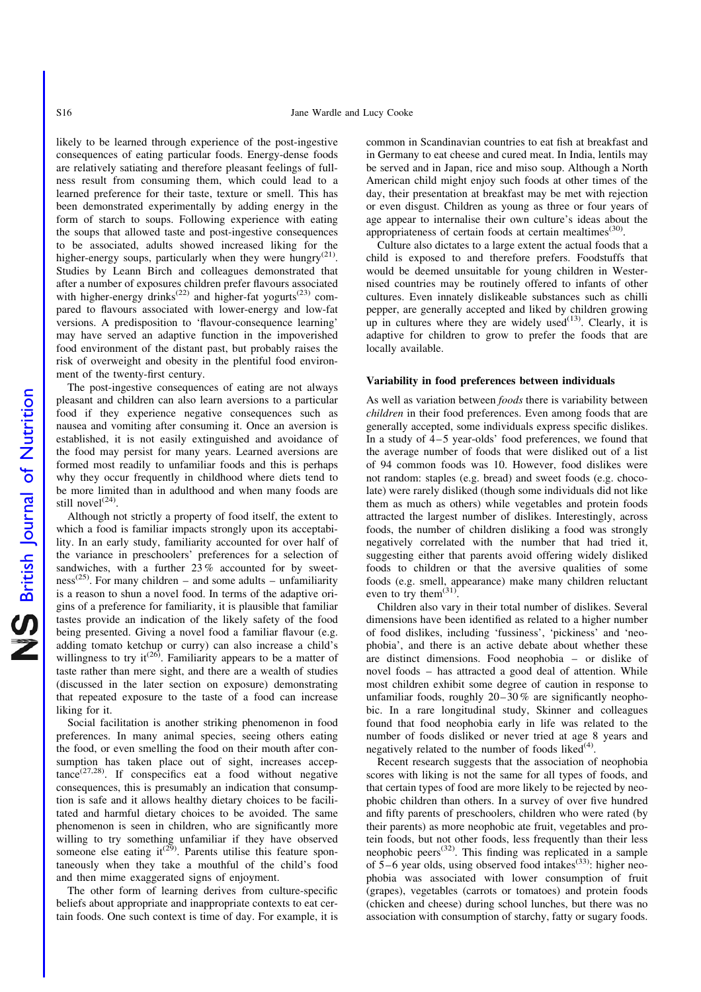likely to be learned through experience of the post-ingestive consequences of eating particular foods. Energy-dense foods are relatively satiating and therefore pleasant feelings of fullness result from consuming them, which could lead to a learned preference for their taste, texture or smell. This has been demonstrated experimentally by adding energy in the form of starch to soups. Following experience with eating the soups that allowed taste and post-ingestive consequences to be associated, adults showed increased liking for the higher-energy soups, particularly when they were hungry<sup>(21)</sup>. Studies by Leann Birch and colleagues demonstrated that after a number of exposures children prefer flavours associated with higher-energy drinks<sup>(22)</sup> and higher-fat yogurts<sup>(23)</sup> compared to flavours associated with lower-energy and low-fat versions. A predisposition to 'flavour-consequence learning' may have served an adaptive function in the impoverished food environment of the distant past, but probably raises the risk of overweight and obesity in the plentiful food environment of the twenty-first century.

The post-ingestive consequences of eating are not always pleasant and children can also learn aversions to a particular food if they experience negative consequences such as nausea and vomiting after consuming it. Once an aversion is established, it is not easily extinguished and avoidance of the food may persist for many years. Learned aversions are formed most readily to unfamiliar foods and this is perhaps why they occur frequently in childhood where diets tend to be more limited than in adulthood and when many foods are still novel $^{(24)}$ .

Although not strictly a property of food itself, the extent to which a food is familiar impacts strongly upon its acceptability. In an early study, familiarity accounted for over half of the variance in preschoolers' preferences for a selection of sandwiches, with a further  $23\%$  accounted for by sweet $ness<sup>(25)</sup>$ . For many children – and some adults – unfamiliarity is a reason to shun a novel food. In terms of the adaptive origins of a preference for familiarity, it is plausible that familiar tastes provide an indication of the likely safety of the food being presented. Giving a novel food a familiar flavour (e.g. adding tomato ketchup or curry) can also increase a child's willingness to try it<sup> $(26)$ </sup>. Familiarity appears to be a matter of taste rather than mere sight, and there are a wealth of studies (discussed in the later section on exposure) demonstrating that repeated exposure to the taste of a food can increase liking for it.

Social facilitation is another striking phenomenon in food preferences. In many animal species, seeing others eating the food, or even smelling the food on their mouth after consumption has taken place out of sight, increases accep $t_{\text{ance}}^{(27,28)}$ . If conspecifics eat a food without negative consequences, this is presumably an indication that consumption is safe and it allows healthy dietary choices to be facilitated and harmful dietary choices to be avoided. The same phenomenon is seen in children, who are significantly more willing to try something unfamiliar if they have observed someone else eating it<sup>(29)</sup>. Parents utilise this feature spontaneously when they take a mouthful of the child's food and then mime exaggerated signs of enjoyment.

The other form of learning derives from culture-specific beliefs about appropriate and inappropriate contexts to eat certain foods. One such context is time of day. For example, it is

common in Scandinavian countries to eat fish at breakfast and in Germany to eat cheese and cured meat. In India, lentils may be served and in Japan, rice and miso soup. Although a North American child might enjoy such foods at other times of the day, their presentation at breakfast may be met with rejection or even disgust. Children as young as three or four years of age appear to internalise their own culture's ideas about the appropriateness of certain foods at certain mealtimes<sup>(30)</sup>.

Culture also dictates to a large extent the actual foods that a child is exposed to and therefore prefers. Foodstuffs that would be deemed unsuitable for young children in Westernised countries may be routinely offered to infants of other cultures. Even innately dislikeable substances such as chilli pepper, are generally accepted and liked by children growing up in cultures where they are widely used $(13)$ . Clearly, it is adaptive for children to grow to prefer the foods that are locally available.

#### Variability in food preferences between individuals

As well as variation between *foods* there is variability between children in their food preferences. Even among foods that are generally accepted, some individuals express specific dislikes. In a study of 4–5 year-olds' food preferences, we found that the average number of foods that were disliked out of a list of 94 common foods was 10. However, food dislikes were not random: staples (e.g. bread) and sweet foods (e.g. chocolate) were rarely disliked (though some individuals did not like them as much as others) while vegetables and protein foods attracted the largest number of dislikes. Interestingly, across foods, the number of children disliking a food was strongly negatively correlated with the number that had tried it, suggesting either that parents avoid offering widely disliked foods to children or that the aversive qualities of some foods (e.g. smell, appearance) make many children reluctant even to try them<sup> $(31)$ </sup>

Children also vary in their total number of dislikes. Several dimensions have been identified as related to a higher number of food dislikes, including 'fussiness', 'pickiness' and 'neophobia', and there is an active debate about whether these are distinct dimensions. Food neophobia – or dislike of novel foods – has attracted a good deal of attention. While most children exhibit some degree of caution in response to unfamiliar foods, roughly  $20-30\%$  are significantly neophobic. In a rare longitudinal study, Skinner and colleagues found that food neophobia early in life was related to the number of foods disliked or never tried at age 8 years and negatively related to the number of foods liked $(4)$ .

Recent research suggests that the association of neophobia scores with liking is not the same for all types of foods, and that certain types of food are more likely to be rejected by neophobic children than others. In a survey of over five hundred and fifty parents of preschoolers, children who were rated (by their parents) as more neophobic ate fruit, vegetables and protein foods, but not other foods, less frequently than their less neophobic peers<sup> $(32)$ </sup>. This finding was replicated in a sample of  $\hat{5}$ –6 year olds, using observed food intakes<sup>(33)</sup>: higher neophobia was associated with lower consumption of fruit (grapes), vegetables (carrots or tomatoes) and protein foods (chicken and cheese) during school lunches, but there was no association with consumption of starchy, fatty or sugary foods.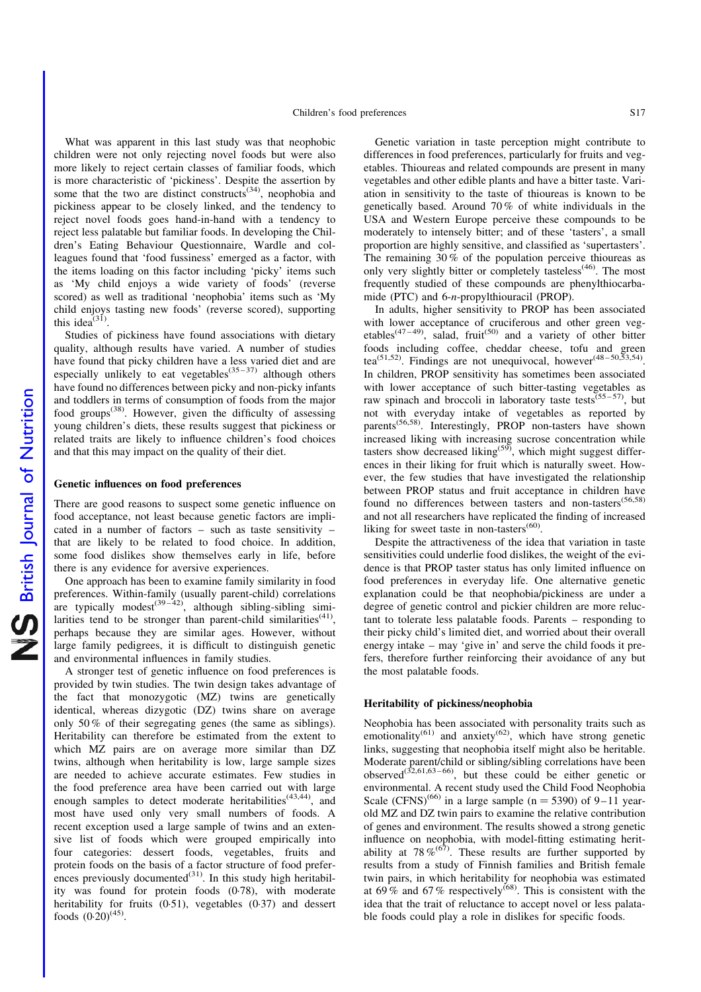What was apparent in this last study was that neophobic children were not only rejecting novel foods but were also more likely to reject certain classes of familiar foods, which is more characteristic of 'pickiness'. Despite the assertion by some that the two are distinct constructs<sup> $(34)$ </sup>, neophobia and pickiness appear to be closely linked, and the tendency to reject novel foods goes hand-in-hand with a tendency to reject less palatable but familiar foods. In developing the Children's Eating Behaviour Questionnaire, Wardle and colleagues found that 'food fussiness' emerged as a factor, with the items loading on this factor including 'picky' items such as 'My child enjoys a wide variety of foods' (reverse scored) as well as traditional 'neophobia' items such as 'My child enjoys tasting new foods' (reverse scored), supporting this idea $^{(31)}$ .

Studies of pickiness have found associations with dietary quality, although results have varied. A number of studies have found that picky children have a less varied diet and are especially unlikely to eat vegetables<sup> $(35-37)$ </sup> although others have found no differences between picky and non-picky infants and toddlers in terms of consumption of foods from the major food groups<sup> $(38)$ </sup>. However, given the difficulty of assessing young children's diets, these results suggest that pickiness or related traits are likely to influence children's food choices and that this may impact on the quality of their diet.

#### Genetic influences on food preferences

There are good reasons to suspect some genetic influence on food acceptance, not least because genetic factors are implicated in a number of factors – such as taste sensitivity – that are likely to be related to food choice. In addition, some food dislikes show themselves early in life, before there is any evidence for aversive experiences.

One approach has been to examine family similarity in food preferences. Within-family (usually parent-child) correlations are typically modest<sup>(39–42)</sup>, although sibling-sibling similarities tend to be stronger than parent-child similarities<sup> $(41)$ </sup>, perhaps because they are similar ages. However, without large family pedigrees, it is difficult to distinguish genetic and environmental influences in family studies.

A stronger test of genetic influence on food preferences is provided by twin studies. The twin design takes advantage of the fact that monozygotic (MZ) twins are genetically identical, whereas dizygotic (DZ) twins share on average only 50 % of their segregating genes (the same as siblings). Heritability can therefore be estimated from the extent to which MZ pairs are on average more similar than DZ twins, although when heritability is low, large sample sizes are needed to achieve accurate estimates. Few studies in the food preference area have been carried out with large enough samples to detect moderate heritabilities $(43,44)$ , and most have used only very small numbers of foods. A recent exception used a large sample of twins and an extensive list of foods which were grouped empirically into four categories: dessert foods, vegetables, fruits and protein foods on the basis of a factor structure of food preferences previously documented $^{(31)}$ . In this study high heritability was found for protein foods (0·78), with moderate heritability for fruits (0.51), vegetables (0.37) and dessert foods  $(0.20)^{(45)}$ .

Genetic variation in taste perception might contribute to differences in food preferences, particularly for fruits and vegetables. Thioureas and related compounds are present in many vegetables and other edible plants and have a bitter taste. Variation in sensitivity to the taste of thioureas is known to be genetically based. Around 70 % of white individuals in the USA and Western Europe perceive these compounds to be moderately to intensely bitter; and of these 'tasters', a small proportion are highly sensitive, and classified as 'supertasters'. The remaining  $30\%$  of the population perceive thioureas as only very slightly bitter or completely tasteless<sup> $(46)$ </sup>. The most frequently studied of these compounds are phenylthiocarbamide (PTC) and 6-n-propylthiouracil (PROP).

In adults, higher sensitivity to PROP has been associated with lower acceptance of cruciferous and other green vegetables<sup>(47-49)</sup>, salad, fruit<sup>(50)</sup> and a variety of other bitter foods including coffee, cheddar cheese, tofu and green tea<sup>(51,52)</sup>. Findings are not unequivocal, however<sup>(48–50,53,54)</sup>. In children, PROP sensitivity has sometimes been associated with lower acceptance of such bitter-tasting vegetables as raw spinach and broccoli in laboratory taste tests<sup>(55-57)</sup>, but not with everyday intake of vegetables as reported by parents<sup>(56,58)</sup>. Interestingly, PROP non-tasters have shown increased liking with increasing sucrose concentration while tasters show decreased liking<sup> $(59)$ </sup>, which might suggest differences in their liking for fruit which is naturally sweet. However, the few studies that have investigated the relationship between PROP status and fruit acceptance in children have found no differences between tasters and non-tasters<sup>(56,58)</sup> and not all researchers have replicated the finding of increased liking for sweet taste in non-tasters $(60)$ .

Despite the attractiveness of the idea that variation in taste sensitivities could underlie food dislikes, the weight of the evidence is that PROP taster status has only limited influence on food preferences in everyday life. One alternative genetic explanation could be that neophobia/pickiness are under a degree of genetic control and pickier children are more reluctant to tolerate less palatable foods. Parents – responding to their picky child's limited diet, and worried about their overall energy intake – may 'give in' and serve the child foods it prefers, therefore further reinforcing their avoidance of any but the most palatable foods.

#### Heritability of pickiness/neophobia

Neophobia has been associated with personality traits such as emotionality<sup>(61)</sup> and anxiety<sup>(62)</sup>, which have strong genetic links, suggesting that neophobia itself might also be heritable. Moderate parent/child or sibling/sibling correlations have been observed<sup>(32,61,63-66)</sup>, but these could be either genetic or environmental. A recent study used the Child Food Neophobia Scale (CFNS)<sup>(66)</sup> in a large sample (n = 5390) of 9–11 yearold MZ and DZ twin pairs to examine the relative contribution of genes and environment. The results showed a strong genetic influence on neophobia, with model-fitting estimating heritability at  $78\%$ <sup>(67)</sup>. These results are further supported by results from a study of Finnish families and British female twin pairs, in which heritability for neophobia was estimated at  $69\%$  and  $67\%$  respectively<sup>(68)</sup>. This is consistent with the idea that the trait of reluctance to accept novel or less palatable foods could play a role in dislikes for specific foods.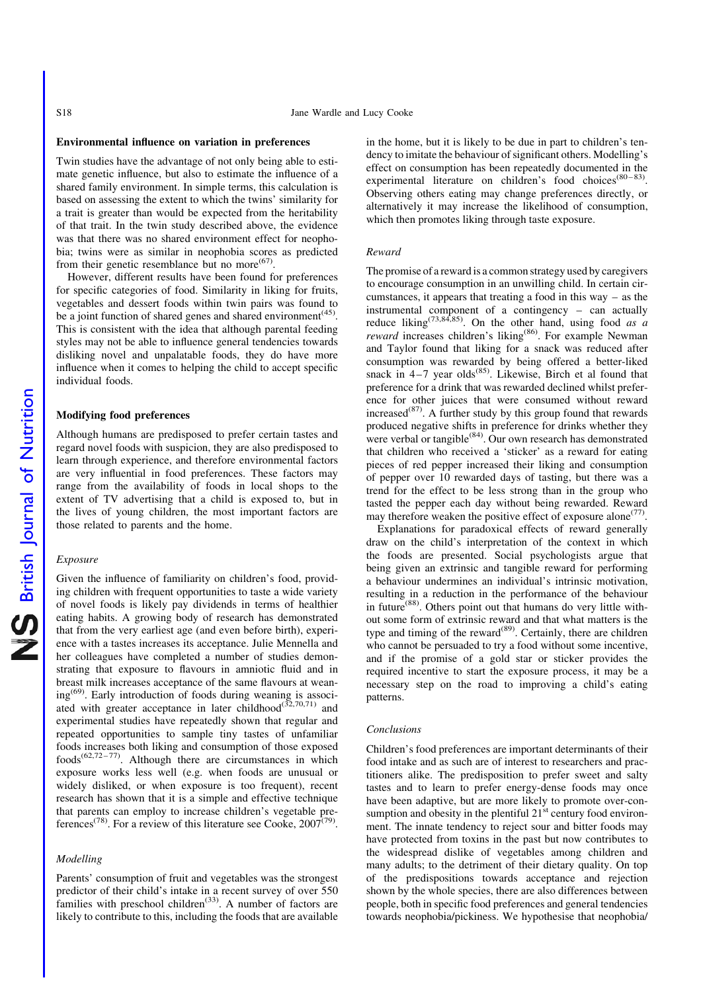#### Environmental influence on variation in preferences

Twin studies have the advantage of not only being able to estimate genetic influence, but also to estimate the influence of a shared family environment. In simple terms, this calculation is based on assessing the extent to which the twins' similarity for a trait is greater than would be expected from the heritability of that trait. In the twin study described above, the evidence was that there was no shared environment effect for neophobia; twins were as similar in neophobia scores as predicted from their genetic resemblance but no more<sup> $(67)$ </sup>.

However, different results have been found for preferences for specific categories of food. Similarity in liking for fruits, vegetables and dessert foods within twin pairs was found to be a joint function of shared genes and shared environment<sup>(45)</sup>. This is consistent with the idea that although parental feeding styles may not be able to influence general tendencies towards disliking novel and unpalatable foods, they do have more influence when it comes to helping the child to accept specific individual foods.

#### Modifying food preferences

Although humans are predisposed to prefer certain tastes and regard novel foods with suspicion, they are also predisposed to learn through experience, and therefore environmental factors are very influential in food preferences. These factors may range from the availability of foods in local shops to the extent of TV advertising that a child is exposed to, but in the lives of young children, the most important factors are those related to parents and the home.

#### Exposure

Given the influence of familiarity on children's food, providing children with frequent opportunities to taste a wide variety of novel foods is likely pay dividends in terms of healthier eating habits. A growing body of research has demonstrated that from the very earliest age (and even before birth), experience with a tastes increases its acceptance. Julie Mennella and her colleagues have completed a number of studies demonstrating that exposure to flavours in amniotic fluid and in breast milk increases acceptance of the same flavours at weaning<sup>(69)</sup>. Early introduction of foods during weaning is associated with greater acceptance in later childhood<sup>(32,70,71)</sup> and experimental studies have repeatedly shown that regular and repeated opportunities to sample tiny tastes of unfamiliar foods increases both liking and consumption of those exposed  $foods^{(62,72-77)}$ . Although there are circumstances in which exposure works less well (e.g. when foods are unusual or widely disliked, or when exposure is too frequent), recent research has shown that it is a simple and effective technique that parents can employ to increase children's vegetable preferences<sup>(78)</sup>. For a review of this literature see Cooke,  $2007^{(79)}$ .

#### Modelling

Parents' consumption of fruit and vegetables was the strongest predictor of their child's intake in a recent survey of over 550 families with preschool children<sup> $(33)$ </sup>. A number of factors are likely to contribute to this, including the foods that are available

in the home, but it is likely to be due in part to children's tendency to imitate the behaviour of significant others. Modelling's effect on consumption has been repeatedly documented in the experimental literature on children's food choices<sup>(80-83)</sup>. Observing others eating may change preferences directly, or alternatively it may increase the likelihood of consumption, which then promotes liking through taste exposure.

#### Reward

The promise of a reward is a common strategy used by caregivers to encourage consumption in an unwilling child. In certain circumstances, it appears that treating a food in this way – as the instrumental component of a contingency – can actually reduce liking<sup>(73,84,85)</sup>. On the other hand, using food as a reward increases children's liking<sup>(86)</sup>. For example Newman and Taylor found that liking for a snack was reduced after consumption was rewarded by being offered a better-liked snack in  $4-7$  year olds<sup>(85)</sup>. Likewise, Birch et al found that preference for a drink that was rewarded declined whilst preference for other juices that were consumed without reward  $i$  increased<sup>(87)</sup>. A further study by this group found that rewards produced negative shifts in preference for drinks whether they were verbal or tangible<sup> $(84)$ </sup>. Our own research has demonstrated that children who received a 'sticker' as a reward for eating pieces of red pepper increased their liking and consumption of pepper over 10 rewarded days of tasting, but there was a trend for the effect to be less strong than in the group who tasted the pepper each day without being rewarded. Reward may therefore weaken the positive effect of exposure alone<sup> $(77)$ </sup>.

Explanations for paradoxical effects of reward generally draw on the child's interpretation of the context in which the foods are presented. Social psychologists argue that being given an extrinsic and tangible reward for performing a behaviour undermines an individual's intrinsic motivation, resulting in a reduction in the performance of the behaviour in future<sup>(88)</sup>. Others point out that humans do very little without some form of extrinsic reward and that what matters is the type and timing of the reward<sup> $(89)$ </sup>. Certainly, there are children who cannot be persuaded to try a food without some incentive, and if the promise of a gold star or sticker provides the required incentive to start the exposure process, it may be a necessary step on the road to improving a child's eating patterns.

#### Conclusions

Children's food preferences are important determinants of their food intake and as such are of interest to researchers and practitioners alike. The predisposition to prefer sweet and salty tastes and to learn to prefer energy-dense foods may once have been adaptive, but are more likely to promote over-consumption and obesity in the plentiful  $21<sup>st</sup>$  century food environment. The innate tendency to reject sour and bitter foods may have protected from toxins in the past but now contributes to the widespread dislike of vegetables among children and many adults; to the detriment of their dietary quality. On top of the predispositions towards acceptance and rejection shown by the whole species, there are also differences between people, both in specific food preferences and general tendencies towards neophobia/pickiness. We hypothesise that neophobia/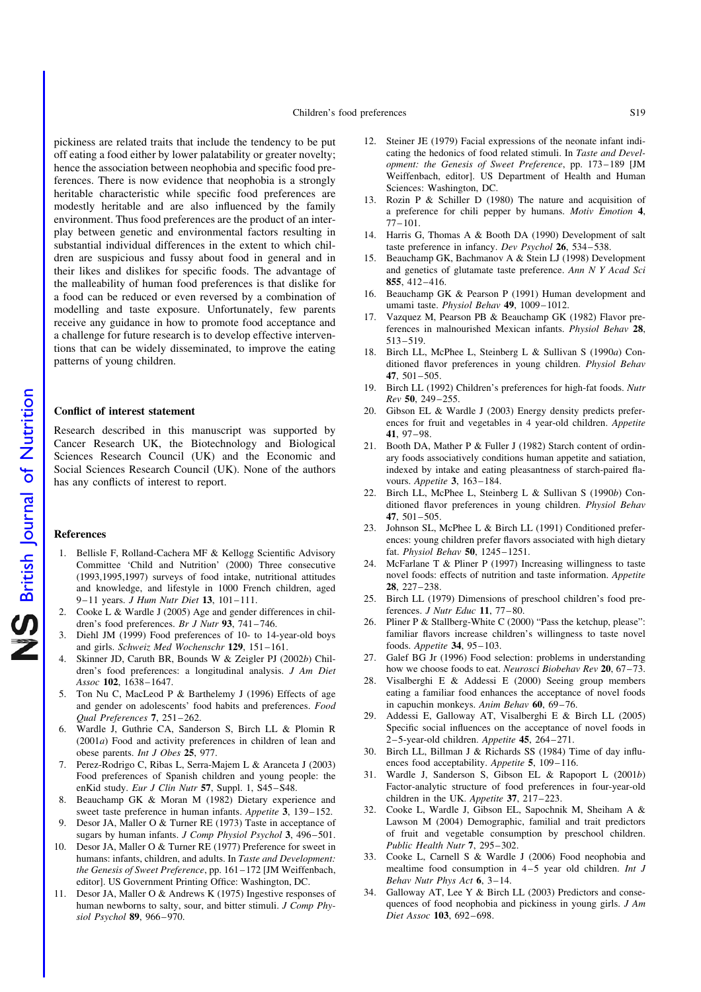Children's food preferences S19

pickiness are related traits that include the tendency to be put off eating a food either by lower palatability or greater novelty; hence the association between neophobia and specific food preferences. There is now evidence that neophobia is a strongly heritable characteristic while specific food preferences are modestly heritable and are also influenced by the family environment. Thus food preferences are the product of an interplay between genetic and environmental factors resulting in substantial individual differences in the extent to which children are suspicious and fussy about food in general and in their likes and dislikes for specific foods. The advantage of the malleability of human food preferences is that dislike for a food can be reduced or even reversed by a combination of modelling and taste exposure. Unfortunately, few parents receive any guidance in how to promote food acceptance and a challenge for future research is to develop effective interventions that can be widely disseminated, to improve the eating patterns of young children.

#### Conflict of interest statement

Research described in this manuscript was supported by Cancer Research UK, the Biotechnology and Biological Sciences Research Council (UK) and the Economic and Social Sciences Research Council (UK). None of the authors has any conflicts of interest to report.

#### References

- 1. Bellisle F, Rolland-Cachera MF & Kellogg Scientific Advisory Committee 'Child and Nutrition' (2000) Three consecutive (1993,1995,1997) surveys of food intake, nutritional attitudes and knowledge, and lifestyle in 1000 French children, aged 9–11 years. J Hum Nutr Diet 13, 101–111.
- 2. Cooke L & Wardle J (2005) Age and gender differences in children's food preferences. Br J Nutr 93, 741-746.
- 3. Diehl JM (1999) Food preferences of 10- to 14-year-old boys and girls. Schweiz Med Wochenschr 129, 151–161.
- 4. Skinner JD, Caruth BR, Bounds W & Zeigler PJ (2002b) Children's food preferences: a longitudinal analysis. J Am Diet Assoc 102, 1638–1647.
- 5. Ton Nu C, MacLeod P & Barthelemy J (1996) Effects of age and gender on adolescents' food habits and preferences. Food Qual Preferences 7, 251–262.
- 6. Wardle J, Guthrie CA, Sanderson S, Birch LL & Plomin R  $(2001a)$  Food and activity preferences in children of lean and obese parents. Int J Obes 25, 977.
- 7. Perez-Rodrigo C, Ribas L, Serra-Majem L & Aranceta J (2003) Food preferences of Spanish children and young people: the enKid study. Eur J Clin Nutr 57, Suppl. 1, S45-S48.
- 8. Beauchamp GK & Moran M (1982) Dietary experience and sweet taste preference in human infants. Appetite 3, 139–152.
- Desor JA, Maller O & Turner RE (1973) Taste in acceptance of sugars by human infants. J Comp Physiol Psychol 3, 496-501.
- 10. Desor JA, Maller O & Turner RE (1977) Preference for sweet in humans: infants, children, and adults. In Taste and Development: the Genesis of Sweet Preference, pp. 161–172 [JM Weiffenbach, editor]. US Government Printing Office: Washington, DC.
- 11. Desor JA, Maller O & Andrews K (1975) Ingestive responses of human newborns to salty, sour, and bitter stimuli. J Comp Physiol Psychol 89, 966–970.
- 12. Steiner JE (1979) Facial expressions of the neonate infant indicating the hedonics of food related stimuli. In Taste and Development: the Genesis of Sweet Preference, pp. 173–189 [JM Weiffenbach, editor]. US Department of Health and Human Sciences: Washington, DC.
- 13. Rozin P & Schiller D (1980) The nature and acquisition of a preference for chili pepper by humans. Motiv Emotion 4, 77–101.
- 14. Harris G, Thomas A & Booth DA (1990) Development of salt taste preference in infancy. Dev Psychol 26, 534–538.
- 15. Beauchamp GK, Bachmanov A & Stein LJ (1998) Development and genetics of glutamate taste preference. Ann N Y Acad Sci 855, 412–416.
- 16. Beauchamp GK & Pearson P (1991) Human development and umami taste. Physiol Behav 49, 1009–1012.
- 17. Vazquez M, Pearson PB & Beauchamp GK (1982) Flavor preferences in malnourished Mexican infants. Physiol Behav 28, 513–519.
- 18. Birch LL, McPhee L, Steinberg L & Sullivan S (1990a) Conditioned flavor preferences in young children. Physiol Behav 47, 501–505.
- 19. Birch LL (1992) Children's preferences for high-fat foods. Nutr Rev 50, 249–255.
- 20. Gibson EL & Wardle J (2003) Energy density predicts preferences for fruit and vegetables in 4 year-old children. Appetite 41, 97–98.
- 21. Booth DA, Mather P & Fuller J (1982) Starch content of ordinary foods associatively conditions human appetite and satiation, indexed by intake and eating pleasantness of starch-paired flavours. Appetite 3, 163–184.
- 22. Birch LL, McPhee L, Steinberg L & Sullivan S (1990b) Conditioned flavor preferences in young children. Physiol Behav 47, 501–505.
- 23. Johnson SL, McPhee L & Birch LL (1991) Conditioned preferences: young children prefer flavors associated with high dietary fat. Physiol Behav 50, 1245–1251.
- 24. McFarlane T & Pliner P (1997) Increasing willingness to taste novel foods: effects of nutrition and taste information. Appetite 28, 227–238.
- 25. Birch LL (1979) Dimensions of preschool children's food preferences. J Nutr Educ 11, 77–80.
- 26. Pliner P & Stallberg-White C (2000) "Pass the ketchup, please": familiar flavors increase children's willingness to taste novel foods. Appetite 34, 95–103.
- 27. Galef BG Jr (1996) Food selection: problems in understanding how we choose foods to eat. Neurosci Biobehav Rev 20, 67-73.
- 28. Visalberghi E & Addessi E (2000) Seeing group members eating a familiar food enhances the acceptance of novel foods in capuchin monkeys. Anim Behav 60, 69–76.
- 29. Addessi E, Galloway AT, Visalberghi E & Birch LL (2005) Specific social influences on the acceptance of novel foods in 2–5-year-old children. Appetite 45, 264–271.
- 30. Birch LL, Billman J & Richards SS (1984) Time of day influences food acceptability. Appetite 5, 109–116.
- 31. Wardle J, Sanderson S, Gibson EL & Rapoport L (2001b) Factor-analytic structure of food preferences in four-year-old children in the UK. Appetite 37, 217-223.
- 32. Cooke L, Wardle J, Gibson EL, Sapochnik M, Sheiham A & Lawson M (2004) Demographic, familial and trait predictors of fruit and vegetable consumption by preschool children. Public Health Nutr 7, 295–302.
- 33. Cooke L, Carnell S & Wardle J (2006) Food neophobia and mealtime food consumption in 4–5 year old children. Int J Behav Nutr Phys Act 6, 3–14.
- 34. Galloway AT, Lee Y & Birch LL (2003) Predictors and consequences of food neophobia and pickiness in young girls. J Am Diet Assoc 103, 692–698.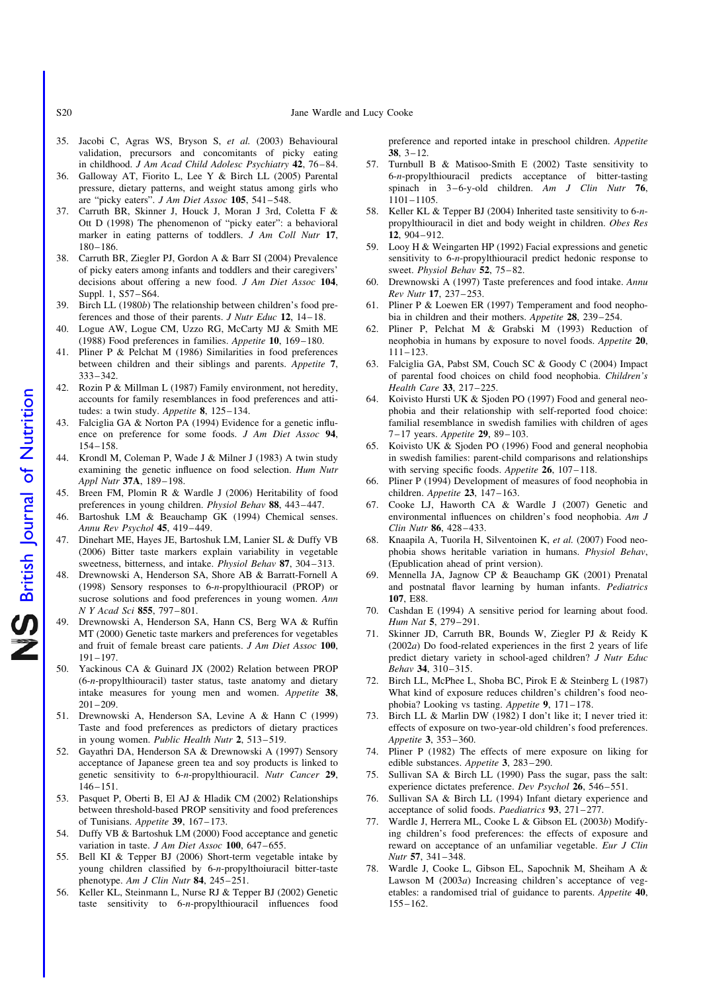- S20 Jane Wardle and Lucy Cooke
- 35. Jacobi C, Agras WS, Bryson S, et al. (2003) Behavioural validation, precursors and concomitants of picky eating in childhood. J Am Acad Child Adolesc Psychiatry 42, 76–84.
- 36. Galloway AT, Fiorito L, Lee Y & Birch LL (2005) Parental pressure, dietary patterns, and weight status among girls who are "picky eaters". J Am Diet Assoc 105, 541–548.
- 37. Carruth BR, Skinner J, Houck J, Moran J 3rd, Coletta F & Ott D (1998) The phenomenon of "picky eater": a behavioral marker in eating patterns of toddlers. J Am Coll Nutr 17, 180–186.
- 38. Carruth BR, Ziegler PJ, Gordon A & Barr SI (2004) Prevalence of picky eaters among infants and toddlers and their caregivers' decisions about offering a new food. J Am Diet Assoc 104, Suppl. 1, S57–S64.
- 39. Birch LL (1980b) The relationship between children's food preferences and those of their parents. J Nutr Educ 12, 14–18.
- 40. Logue AW, Logue CM, Uzzo RG, McCarty MJ & Smith ME (1988) Food preferences in families. Appetite 10, 169–180.
- 41. Pliner P & Pelchat M (1986) Similarities in food preferences between children and their siblings and parents. Appetite 7, 333–342.
- 42. Rozin P & Millman L (1987) Family environment, not heredity, accounts for family resemblances in food preferences and attitudes: a twin study. Appetite 8, 125–134.
- 43. Falciglia GA & Norton PA (1994) Evidence for a genetic influence on preference for some foods. J Am Diet Assoc 94, 154–158.
- 44. Krondl M, Coleman P, Wade J & Milner J (1983) A twin study examining the genetic influence on food selection. Hum Nutr Appl Nutr 37A, 189–198.
- 45. Breen FM, Plomin R & Wardle J (2006) Heritability of food preferences in young children. Physiol Behav 88, 443–447.
- 46. Bartoshuk LM & Beauchamp GK (1994) Chemical senses. Annu Rev Psychol 45, 419–449.
- 47. Dinehart ME, Hayes JE, Bartoshuk LM, Lanier SL & Duffy VB (2006) Bitter taste markers explain variability in vegetable sweetness, bitterness, and intake. Physiol Behav 87, 304–313.
- 48. Drewnowski A, Henderson SA, Shore AB & Barratt-Fornell A (1998) Sensory responses to 6-n-propylthiouracil (PROP) or sucrose solutions and food preferences in young women. Ann N Y Acad Sci 855, 797–801.
- 49. Drewnowski A, Henderson SA, Hann CS, Berg WA & Ruffin MT (2000) Genetic taste markers and preferences for vegetables and fruit of female breast care patients. J Am Diet Assoc 100, 191–197.
- 50. Yackinous CA & Guinard JX (2002) Relation between PROP (6-n-propylthiouracil) taster status, taste anatomy and dietary intake measures for young men and women. Appetite 38, 201–209.
- 51. Drewnowski A, Henderson SA, Levine A & Hann C (1999) Taste and food preferences as predictors of dietary practices in young women. Public Health Nutr 2, 513–519.
- 52. Gayathri DA, Henderson SA & Drewnowski A (1997) Sensory acceptance of Japanese green tea and soy products is linked to genetic sensitivity to 6-n-propylthiouracil. Nutr Cancer 29, 146–151.
- 53. Pasquet P, Oberti B, El AJ & Hladik CM (2002) Relationships between threshold-based PROP sensitivity and food preferences of Tunisians. Appetite 39, 167–173.
- 54. Duffy VB & Bartoshuk LM (2000) Food acceptance and genetic variation in taste. J Am Diet Assoc 100, 647-655.
- 55. Bell KI & Tepper BJ (2006) Short-term vegetable intake by young children classified by 6-n-propylthoiuracil bitter-taste phenotype. Am J Clin Nutr 84, 245-251.
- 56. Keller KL, Steinmann L, Nurse RJ & Tepper BJ (2002) Genetic taste sensitivity to 6-n-propylthiouracil influences food

preference and reported intake in preschool children. Appetite  $38, 3 - 12.$ 

- 57. Turnbull B & Matisoo-Smith E (2002) Taste sensitivity to 6-n-propylthiouracil predicts acceptance of bitter-tasting spinach in  $3-6$ -y-old children. Am J Clin Nutr 76, 1101–1105.
- 58. Keller KL & Tepper BJ (2004) Inherited taste sensitivity to 6-npropylthiouracil in diet and body weight in children. Obes Res 12, 904–912.
- 59. Looy H & Weingarten HP (1992) Facial expressions and genetic sensitivity to 6-n-propylthiouracil predict hedonic response to sweet. Physiol Behav 52, 75–82.
- 60. Drewnowski A (1997) Taste preferences and food intake. Annu Rev Nutr 17, 237–253.
- 61. Pliner P & Loewen ER (1997) Temperament and food neophobia in children and their mothers. Appetite 28, 239–254.
- 62. Pliner P, Pelchat M & Grabski M (1993) Reduction of neophobia in humans by exposure to novel foods. Appetite 20, 111–123.
- 63. Falciglia GA, Pabst SM, Couch SC & Goody C (2004) Impact of parental food choices on child food neophobia. Children's Health Care 33, 217–225.
- 64. Koivisto Hursti UK & Sjoden PO (1997) Food and general neophobia and their relationship with self-reported food choice: familial resemblance in swedish families with children of ages 7–17 years. Appetite 29, 89–103.
- Koivisto UK & Sjoden PO (1996) Food and general neophobia in swedish families: parent-child comparisons and relationships with serving specific foods. Appetite 26, 107-118.
- 66. Pliner P (1994) Development of measures of food neophobia in children. Appetite 23, 147-163.
- 67. Cooke LJ, Haworth CA & Wardle J (2007) Genetic and environmental influences on children's food neophobia. Am J Clin Nutr 86, 428–433.
- 68. Knaapila A, Tuorila H, Silventoinen K, et al. (2007) Food neophobia shows heritable variation in humans. Physiol Behav, (Epublication ahead of print version).
- 69. Mennella JA, Jagnow CP & Beauchamp GK (2001) Prenatal and postnatal flavor learning by human infants. Pediatrics 107, E88.
- 70. Cashdan E (1994) A sensitive period for learning about food. Hum Nat 5, 279–291.
- 71. Skinner JD, Carruth BR, Bounds W, Ziegler PJ & Reidy K  $(2002a)$  Do food-related experiences in the first 2 years of life predict dietary variety in school-aged children? J Nutr Educ Behav 34, 310–315.
- 72. Birch LL, McPhee L, Shoba BC, Pirok E & Steinberg L (1987) What kind of exposure reduces children's children's food neophobia? Looking vs tasting. Appetite 9, 171–178.
- 73. Birch LL & Marlin DW (1982) I don't like it; I never tried it: effects of exposure on two-year-old children's food preferences. Appetite 3, 353–360.
- 74. Pliner P (1982) The effects of mere exposure on liking for edible substances. Appetite 3, 283–290.
- 75. Sullivan SA & Birch LL (1990) Pass the sugar, pass the salt: experience dictates preference. Dev Psychol 26, 546–551.
- 76. Sullivan SA & Birch LL (1994) Infant dietary experience and acceptance of solid foods. Paediatrics 93, 271–277.
- 77. Wardle J, Herrera ML, Cooke L & Gibson EL (2003b) Modifying children's food preferences: the effects of exposure and reward on acceptance of an unfamiliar vegetable. Eur J Clin Nutr 57, 341–348.
- 78. Wardle J, Cooke L, Gibson EL, Sapochnik M, Sheiham A & Lawson M (2003a) Increasing children's acceptance of vegetables: a randomised trial of guidance to parents. Appetite 40, 155–162.

NS British Journal of Nutrition British Journal of Nutrition